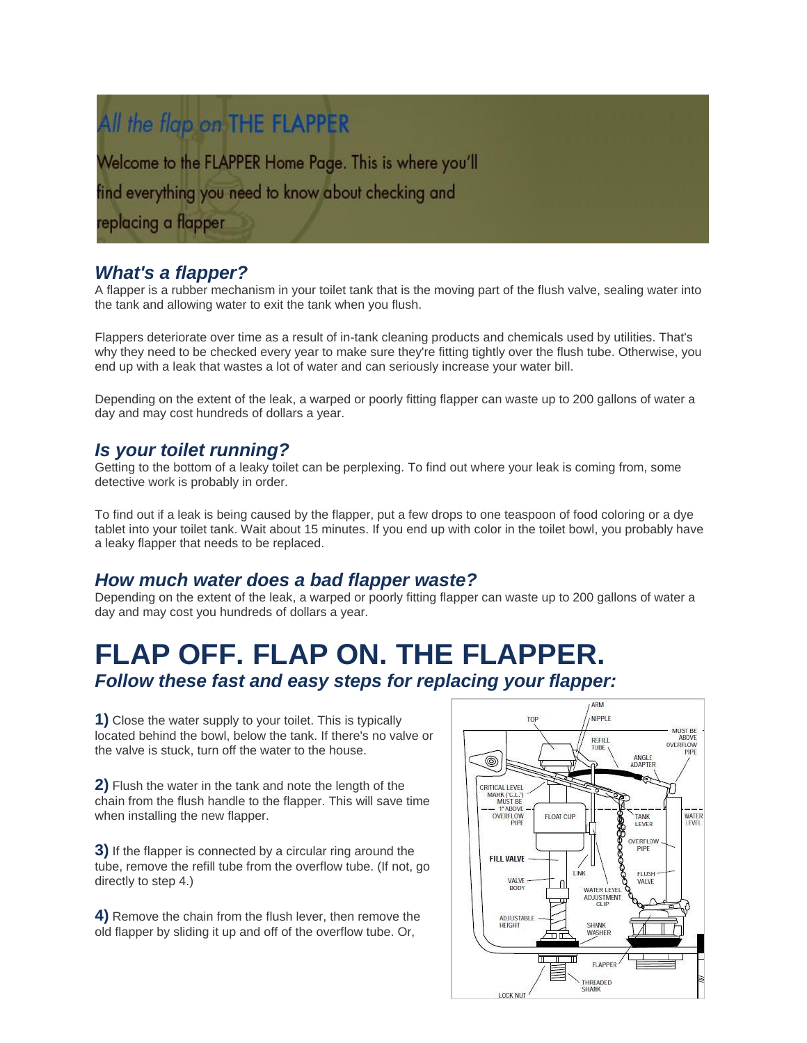## All the flap on THE FLAPPER

Welcome to the FLAPPER Home Page. This is where you'll find everything you need to know about checking and replacing a flapper

### *What's a flapper?*

A flapper is a rubber mechanism in your toilet tank that is the moving part of the flush valve, sealing water into the tank and allowing water to exit the tank when you flush.

Flappers deteriorate over time as a result of in-tank cleaning products and chemicals used by utilities. That's why they need to be checked every year to make sure they're fitting tightly over the flush tube. Otherwise, you end up with a leak that wastes a lot of water and can seriously increase your water bill.

Depending on the extent of the leak, a warped or poorly fitting flapper can waste up to 200 gallons of water a day and may cost hundreds of dollars a year.

#### *Is your toilet running?*

Getting to the bottom of a leaky toilet can be perplexing. To find out where your leak is coming from, some detective work is probably in order.

To find out if a leak is being caused by the flapper, put a few drops to one teaspoon of food coloring or a dye tablet into your toilet tank. Wait about 15 minutes. If you end up with color in the toilet bowl, you probably have a leaky flapper that needs to be replaced.

#### *How much water does a bad flapper waste?*

Depending on the extent of the leak, a warped or poorly fitting flapper can waste up to 200 gallons of water a day and may cost you hundreds of dollars a year.

# **FLAP OFF. FLAP ON. THE FLAPPER.**

*Follow these fast and easy steps for replacing your flapper:*

**1)** Close the water supply to your toilet. This is typically located behind the bowl, below the tank. If there's no valve or the valve is stuck, turn off the water to the house.

**2)** Flush the water in the tank and note the length of the chain from the flush handle to the flapper. This will save time when installing the new flapper.

**3)** If the flapper is connected by a circular ring around the tube, remove the refill tube from the overflow tube. (If not, go directly to step 4.)

**4)** Remove the chain from the flush lever, then remove the old flapper by sliding it up and off of the overflow tube. Or,